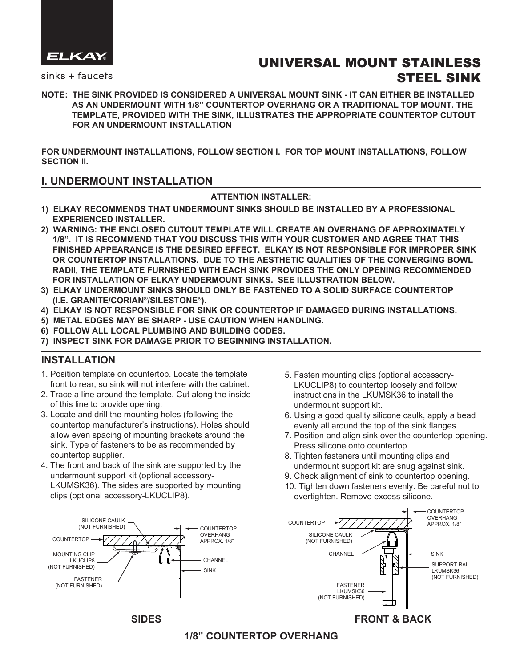

 $sinks + fauces$ 

# UNIVERSAL MOUNT STAINLESS STEEL SINK

**NOTE: THE SINK PROVIDED IS CONSIDERED A UNIVERSAL MOUNT SINK - IT CAN EITHER BE INSTALLED AS AN UNDERMOUNT WITH 1/8" COUNTERTOP OVERHANG OR A TRADITIONAL TOP MOUNT. THE TEMPLATE, PROVIDED WITH THE SINK, ILLUSTRATES THE APPROPRIATE COUNTERTOP CUTOUT FOR AN UNDERMOUNT INSTALLATION**

**FOR UNDERMOUNT INSTALLATIONS, FOLLOW SECTION I. FOR TOP MOUNT INSTALLATIONS, FOLLOW SECTION II.**

### **I. UNDERMOUNT INSTALLATION**

### **ATTENTION INSTALLER:**

- **1) ELKAY RECOMMENDS THAT UNDERMOUNT SINKS SHOULD BE INSTALLED BY A PROFESSIONAL EXPERIENCED INSTALLER.**
- **2) WARNING: THE ENCLOSED CUTOUT TEMPLATE WILL CREATE AN OVERHANG OF APPROXIMATELY 1/8". IT IS RECOMMEND THAT YOU DISCUSS THIS WITH YOUR CUSTOMER AND AGREE THAT THIS FINISHED APPEARANCE IS THE DESIRED EFFECT. ELKAY IS NOT RESPONSIBLE FOR IMPROPER SINK OR COUNTERTOP INSTALLATIONS. DUE TO THE AESTHETIC QUALITIES OF THE CONVERGING BOWL RADII, THE TEMPLATE FURNISHED WITH EACH SINK PROVIDES THE ONLY OPENING RECOMMENDED FOR INSTALLATION OF ELKAY UNDERMOUNT SINKS. SEE ILLUSTRATION BELOW.**
- **3) ELKAY UNDERMOUNT SINKS SHOULD ONLY BE FASTENED TO A SOLID SURFACE COUNTERTOP (I.E. GRANITE/CORIAN®/SILESTONE®).**
- **4) ELKAY IS NOT RESPONSIBLE FOR SINK OR COUNTERTOP IF DAMAGED DURING INSTALLATIONS.**
- **5) METAL EDGES MAY BE SHARP USE CAUTION WHEN HANDLING.**
- **6) FOLLOW ALL LOCAL PLUMBING AND BUILDING CODES.**
- **7) INSPECT SINK FOR DAMAGE PRIOR TO BEGINNING INSTALLATION.**

# **INSTALLATION**

- 1. Position template on countertop. Locate the template front to rear, so sink will not interfere with the cabinet.
- 2. Trace a line around the template. Cut along the inside of this line to provide opening.
- 3. Locate and drill the mounting holes (following the countertop manufacturer's instructions). Holes should allow even spacing of mounting brackets around the sink. Type of fasteners to be as recommended by countertop supplier.
- 4. The front and back of the sink are supported by the undermount support kit (optional accessory- LKUMSK36). The sides are supported by mounting clips (optional accessory-LKUCLIP8).



- 5. Fasten mounting clips (optional accessory- LKUCLIP8) to countertop loosely and follow instructions in the LKUMSK36 to install the undermount support kit.
- 6. Using a good quality silicone caulk, apply a bead evenly all around the top of the sink flanges.
- 7. Position and align sink over the countertop opening. Press silicone onto countertop.
- 8. Tighten fasteners until mounting clips and undermount support kit are snug against sink.
- 9. Check alignment of sink to countertop opening.
- 10. Tighten down fasteners evenly. Be careful not to overtighten. Remove excess silicone.



# **SIDES FRONT & BACK**

# **1/8" COUNTERTOP OVERHANG**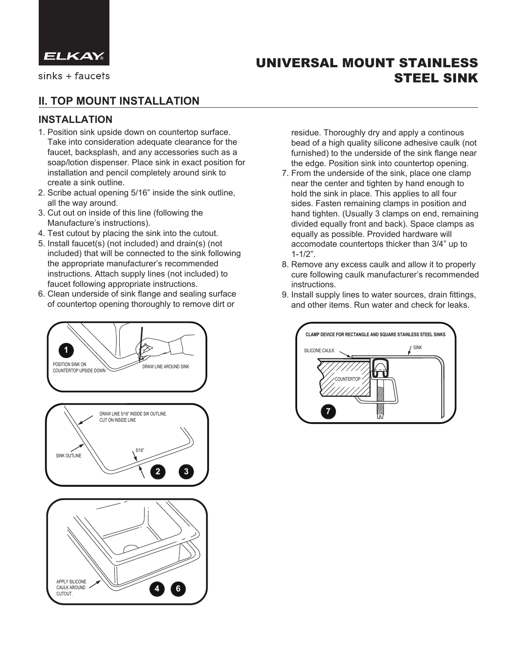

 $sinks + faucets$ 

# **II. TOP MOUNT INSTALLATION**

# **INSTALLATION**

- 1. Position sink upside down on countertop surface. Take into consideration adequate clearance for the faucet, backsplash, and any accessories such as a soap/lotion dispenser. Place sink in exact position for installation and pencil completely around sink to create a sink outline.
- 2. Scribe actual opening 5/16" inside the sink outline, all the way around.
- 3. Cut out on inside of this line (following the Manufacture's instructions).
- 4. Test cutout by placing the sink into the cutout.
- 5. Install faucet(s) (not included) and drain(s) (not included) that will be connected to the sink following the appropriate manufacturer's recommended instructions. Attach supply lines (not included) to faucet following appropriate instructions.
- 6. Clean underside of sink flange and sealing surface of countertop opening thoroughly to remove dirt or



 residue. Thoroughly dry and apply a continous bead of a high quality silicone adhesive caulk (not furnished) to the underside of the sink flange near the edge. Position sink into countertop opening.

STEEL SINK

UNIVERSAL MOUNT STAINLESS

- 7. From the underside of the sink, place one clamp near the center and tighten by hand enough to hold the sink in place. This applies to all four sides. Fasten remaining clamps in position and hand tighten. (Usually 3 clamps on end, remaining divided equally front and back). Space clamps as equally as possible. Provided hardware will accomodate countertops thicker than 3/4" up to 1-1/2".
- 8. Remove any excess caulk and allow it to properly cure following caulk manufacturer's recommended instructions.
- 9. Install supply lines to water sources, drain fittings, and other items. Run water and check for leaks.